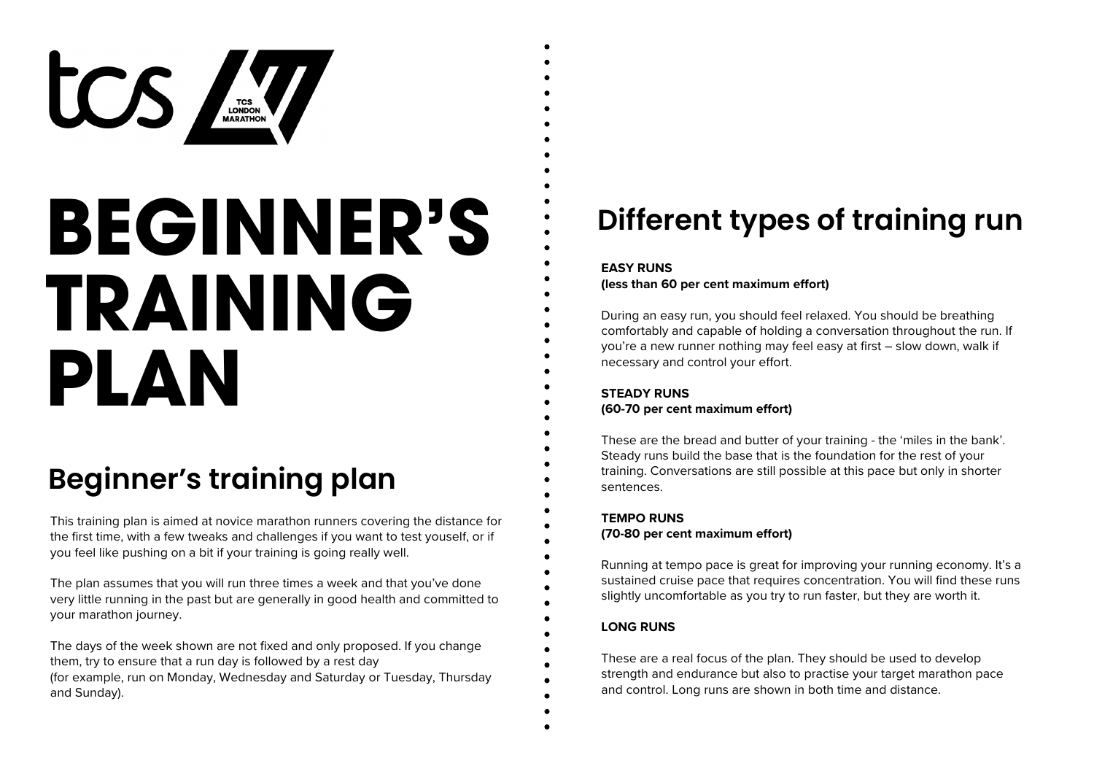

# **BEGINNER'S TRAINING PLAN**

# **Beginner's training plan**

This training plan is aimed at novice marathon runners covering the distance for the first time, with a few tweaks and challenges if you want to test youself, or if you feel like pushing on a bit if your training is going really well.

The plan assumes that you will run three times a week and that you've done very little running in the past but are generally in good health and committed to your marathon journey.

The days of the week shown are not fixed and only proposed. If you change them, try to ensure that a run day is followed by a rest day (for example, run on Monday, Wednesday and Saturday or Tuesday, Thursday and Sunday).

## **Different types of training run**

#### **EASY RUNS**

**(less than 60 per cent maximum effort)**

During an easy run, you should feel relaxed. You should be breathing comfortably and capable of holding a conversation throughout the run. If you're a new runner nothing may feel easy at first – slow down, walk if necessary and control your effort.

#### **STEADY RUNS (60-70 per cent maximum effort)**

These are the bread and butter of your training - the 'miles in the bank'. Steady runs build the base that is the foundation for the rest of your training. Conversations are still possible at this pace but only in shorter sentences.

#### **TEMPO RUNS (70-80 per cent maximum effort)**

Running at tempo pace is great for improving your running economy. It's a sustained cruise pace that requires concentration. You will find these runs slightly uncomfortable as you try to run faster, but they are worth it.

#### **LONG RUNS**

These are a real focus of the plan. They should be used to develop strength and endurance but also to practise your target marathon pace and control. Long runs are shown in both time and distance.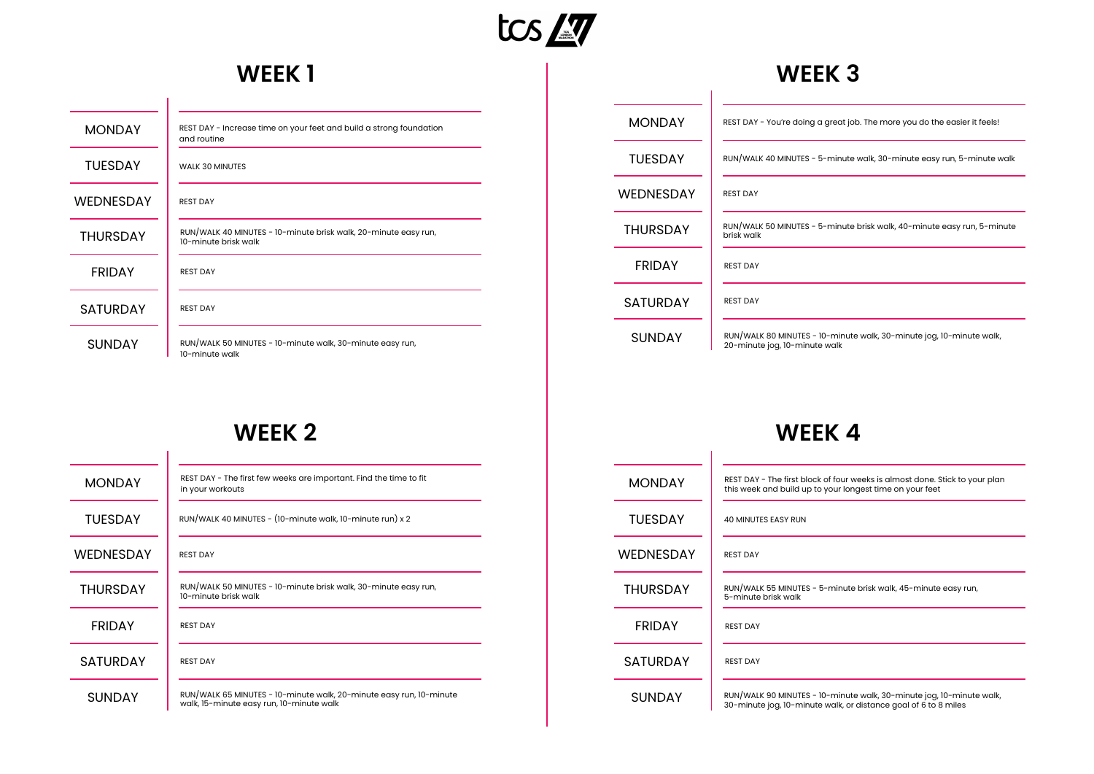

## **WEEK 1**

| <b>MONDAY</b>    | REST DAY - Increase time on your feet and build a strong foundation<br>and routine      |
|------------------|-----------------------------------------------------------------------------------------|
| <b>TUESDAY</b>   | <b>WALK 30 MINUTES</b>                                                                  |
| <b>WEDNESDAY</b> | <b>REST DAY</b>                                                                         |
| <b>THURSDAY</b>  | RUN/WALK 40 MINUTES - 10-minute brisk walk, 20-minute easy run,<br>10-minute brisk walk |
| <b>FRIDAY</b>    | <b>REST DAY</b>                                                                         |
| <b>SATURDAY</b>  | <b>REST DAY</b>                                                                         |
| <b>SUNDAY</b>    | RUN/WALK 50 MINUTES - 10-minute walk, 30-minute easy run,<br>10-minute walk             |

| <b>MONDAY</b>    | REST DAY - You're doing a great job. The more you do the easier it feels!                             |
|------------------|-------------------------------------------------------------------------------------------------------|
| <b>TUESDAY</b>   | RUN/WALK 40 MINUTES - 5-minute walk, 30-minute easy run, 5-minute walk                                |
| <b>WEDNESDAY</b> | <b>REST DAY</b>                                                                                       |
| <b>THURSDAY</b>  | RUN/WALK 50 MINUTES - 5-minute brisk walk, 40-minute easy run, 5-minute<br>brisk walk                 |
| <b>FRIDAY</b>    | <b>REST DAY</b>                                                                                       |
| <b>SATURDAY</b>  | <b>REST DAY</b>                                                                                       |
| <b>SUNDAY</b>    | RUN/WALK 80 MINUTES - 10-minute walk, 30-minute jog, 10-minute walk,<br>20-minute jog, 10-minute walk |

**WEEK 3**

## **WEEK 2**

| <b>MONDAY</b>    | REST DAY - The first few weeks are important. Find the time to fit<br>in your workouts                          |
|------------------|-----------------------------------------------------------------------------------------------------------------|
| TUFSDAY          | RUN/WALK 40 MINUTES - (10-minute walk, 10-minute run) x 2                                                       |
| <b>WEDNESDAY</b> | <b>REST DAY</b>                                                                                                 |
| <b>THURSDAY</b>  | RUN/WALK 50 MINUTES - 10-minute brisk walk, 30-minute easy run,<br>10-minute brisk walk                         |
| <b>FRIDAY</b>    | <b>REST DAY</b>                                                                                                 |
| <b>SATURDAY</b>  | <b>REST DAY</b>                                                                                                 |
| <b>SUNDAY</b>    | RUN/WALK 65 MINUTES - 10-minute walk, 20-minute easy run, 10-minute<br>walk, 15-minute easy run, 10-minute walk |

#### **WEEK 4**

| <b>MONDAY</b>    | REST DAY - The first block of four weeks is almost done. Stick to your plan<br>this week and build up to your longest time on your feet |
|------------------|-----------------------------------------------------------------------------------------------------------------------------------------|
| <b>TUFSDAY</b>   | <b>40 MINUTES EASY RUN</b>                                                                                                              |
| <b>WEDNESDAY</b> | <b>REST DAY</b>                                                                                                                         |
| <b>THURSDAY</b>  | RUN/WALK 55 MINUTES - 5-minute brisk walk, 45-minute easy run,<br>5-minute brisk walk                                                   |
| <b>FRIDAY</b>    | REST DAY                                                                                                                                |
| <b>SATURDAY</b>  | <b>REST DAY</b>                                                                                                                         |
| <b>SUNDAY</b>    | RUN/WALK 90 MINUTES - 10-minute walk, 30-minute jog, 10-minute walk,<br>30-minute jog, 10-minute walk, or distance goal of 6 to 8 miles |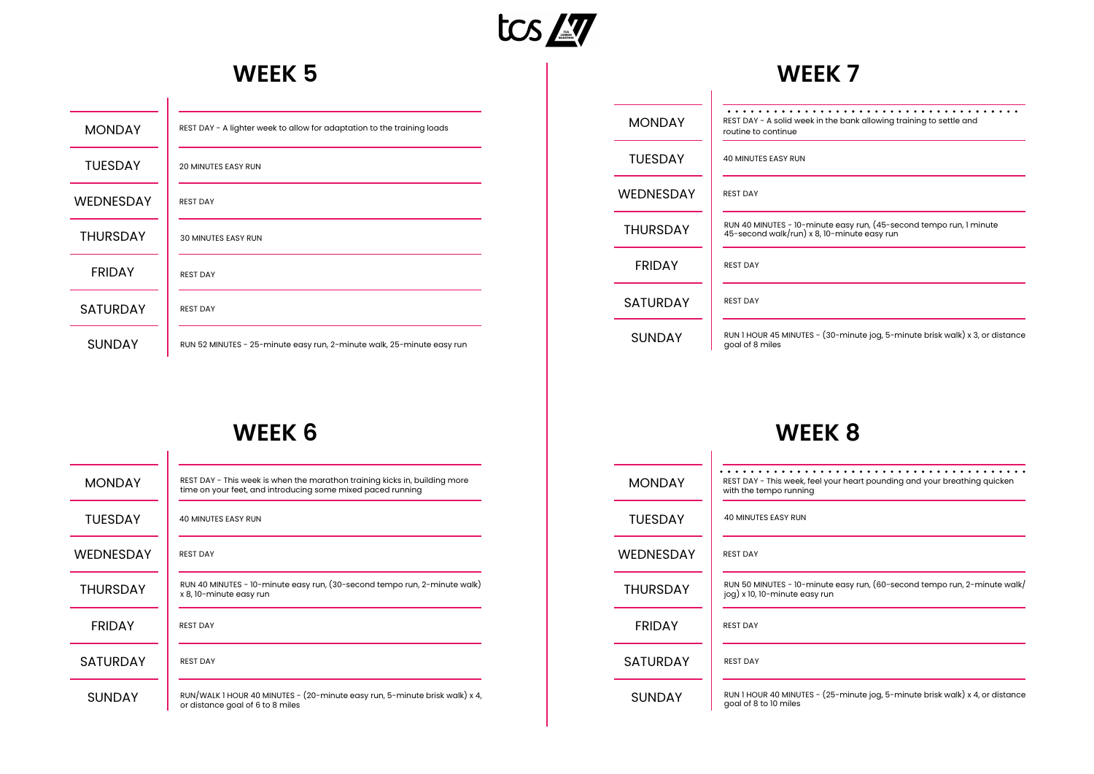

 $\overline{\phantom{0}}$ 

 $\overline{\phantom{0}}$ 

#### **WEEK 5**

| <b>MONDAY</b>    | REST DAY - A lighter week to allow for adaptation to the training loads |
|------------------|-------------------------------------------------------------------------|
| <b>TUESDAY</b>   | <b>20 MINUTES EASY RUN</b>                                              |
| <b>WEDNESDAY</b> | <b>REST DAY</b>                                                         |
| <b>THURSDAY</b>  | <b>30 MINUTES EASY RUN</b>                                              |
| <b>FRIDAY</b>    | <b>REST DAY</b>                                                         |
| <b>SATURDAY</b>  | <b>REST DAY</b>                                                         |
| <b>SUNDAY</b>    | RUN 52 MINUTES - 25-minute easy run, 2-minute walk, 25-minute easy run  |

#### **WEEK 7**

| <b>MONDAY</b>    | REST DAY - A solid week in the bank allowing training to settle and<br>routine to continue                         |
|------------------|--------------------------------------------------------------------------------------------------------------------|
| <b>TUESDAY</b>   | <b>40 MINUTES EASY RUN</b>                                                                                         |
| <b>WEDNESDAY</b> | <b>REST DAY</b>                                                                                                    |
| <b>THURSDAY</b>  | RUN 40 MINUTES - 10-minute easy run, (45-second tempo run, 1 minute<br>45-second walk/run) x 8, 10-minute easy run |
| <b>FRIDAY</b>    | <b>REST DAY</b>                                                                                                    |
| <b>SATURDAY</b>  | <b>REST DAY</b>                                                                                                    |
| <b>SUNDAY</b>    | RUN 1 HOUR 45 MINUTES - (30-minute jog, 5-minute brisk walk) x 3, or distance<br>goal of 8 miles                   |

## **WEEK 6**

 $\overline{\phantom{a}}$ 

| <b>MONDAY</b>    | REST DAY - This week is when the marathon training kicks in, building more<br>time on your feet, and introducing some mixed paced running |
|------------------|-------------------------------------------------------------------------------------------------------------------------------------------|
| <b>TUESDAY</b>   | <b>40 MINUTES EASY RUN</b>                                                                                                                |
| <b>WEDNESDAY</b> | <b>REST DAY</b>                                                                                                                           |
| <b>THURSDAY</b>  | RUN 40 MINUTES - 10-minute easy run, (30-second tempo run, 2-minute walk)<br>x 8, 10-minute easy run                                      |
| <b>FRIDAY</b>    | <b>REST DAY</b>                                                                                                                           |
| <b>SATURDAY</b>  | <b>REST DAY</b>                                                                                                                           |
| <b>SUNDAY</b>    | RUN/WALK 1 HOUR 40 MINUTES - (20-minute easy run, 5-minute brisk walk) x 4,<br>or distance goal of 6 to 8 miles                           |

#### **WEEK 8**

 $\overline{\phantom{a}}$ 

| <b>MONDAY</b>   | REST DAY - This week, feel your heart pounding and your breathing quicken<br>with the tempo running        |
|-----------------|------------------------------------------------------------------------------------------------------------|
| <b>TUESDAY</b>  | <b>40 MINUTES EASY RUN</b>                                                                                 |
| WEDNESDAY       | <b>REST DAY</b>                                                                                            |
| <b>THURSDAY</b> | RUN 50 MINUTES - 10-minute easy run, (60-second tempo run, 2-minute walk/<br>jog) x 10, 10-minute easy run |
| <b>FRIDAY</b>   | <b>REST DAY</b>                                                                                            |
| <b>SATURDAY</b> | <b>REST DAY</b>                                                                                            |
| <b>SUNDAY</b>   | RUN 1 HOUR 40 MINUTES - (25-minute jog, 5-minute brisk walk) x 4, or distance<br>goal of 8 to 10 miles     |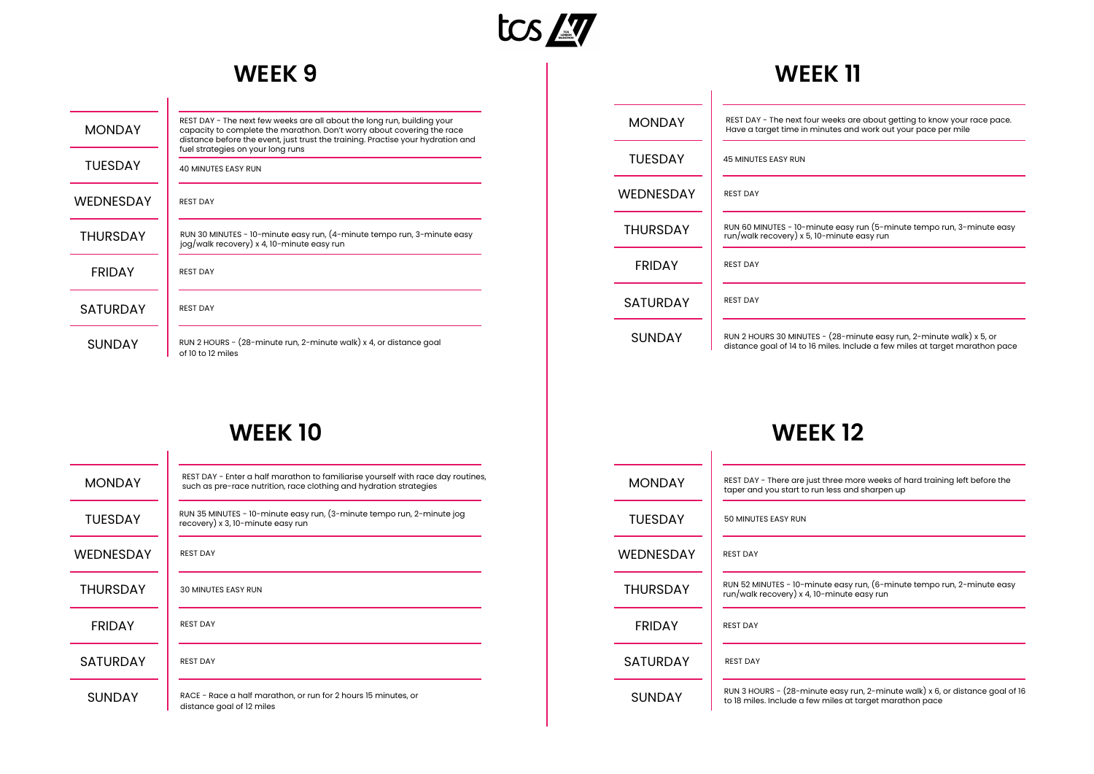

## **WEEK 9**

| <b>MONDAY</b>    | REST DAY - The next few weeks are all about the long run, building your<br>capacity to complete the marathon. Don't worry about covering the race<br>distance before the event, just trust the training. Practise your hydration and<br>fuel strategies on your long runs |
|------------------|---------------------------------------------------------------------------------------------------------------------------------------------------------------------------------------------------------------------------------------------------------------------------|
| TUESDAY          | <b>40 MINUTES EASY RUN</b>                                                                                                                                                                                                                                                |
| <b>WEDNESDAY</b> | <b>REST DAY</b>                                                                                                                                                                                                                                                           |
| <b>THURSDAY</b>  | RUN 30 MINUTES - 10-minute easy run, (4-minute tempo run, 3-minute easy<br>jog/walk recovery) x 4, 10-minute easy run                                                                                                                                                     |
| <b>FRIDAY</b>    | <b>REST DAY</b>                                                                                                                                                                                                                                                           |
| <b>SATURDAY</b>  | <b>REST DAY</b>                                                                                                                                                                                                                                                           |
| SUNDAY           | RUN 2 HOURS - (28-minute run, 2-minute walk) x 4, or distance goal<br>of 10 to 12 miles                                                                                                                                                                                   |

#### **WEEK 11**

| <b>MONDAY</b>   | REST DAY - The next four weeks are about getting to know your race pace.<br>Have a target time in minutes and work out your pace per mile            |
|-----------------|------------------------------------------------------------------------------------------------------------------------------------------------------|
| <b>TUESDAY</b>  | <b>45 MINUTES EASY RUN</b>                                                                                                                           |
| WEDNESDAY       | <b>REST DAY</b>                                                                                                                                      |
| <b>THURSDAY</b> | RUN 60 MINUTES - 10-minute easy run (5-minute tempo run, 3-minute easy<br>run/walk recovery) x 5, 10-minute easy run                                 |
| <b>FRIDAY</b>   | <b>REST DAY</b>                                                                                                                                      |
| <b>SATURDAY</b> | <b>REST DAY</b>                                                                                                                                      |
| <b>SUNDAY</b>   | RUN 2 HOURS 30 MINUTES - (28-minute easy run, 2-minute walk) x 5, or<br>distance goal of 14 to 16 miles. Include a few miles at target marathon pace |

## **WEEK 10**

| <b>MONDAY</b>    | REST DAY - Enter a half marathon to familiarise yourself with race day routines,<br>such as pre-race nutrition, race clothing and hydration strategies |
|------------------|--------------------------------------------------------------------------------------------------------------------------------------------------------|
| TUFSDAY          | RUN 35 MINUTES - 10-minute easy run, (3-minute tempo run, 2-minute jog<br>recovery) x 3, 10-minute easy run                                            |
| <b>WEDNESDAY</b> | <b>REST DAY</b>                                                                                                                                        |
| <b>THURSDAY</b>  | <b>30 MINUTES EASY RUN</b>                                                                                                                             |
| <b>FRIDAY</b>    | <b>REST DAY</b>                                                                                                                                        |
| <b>SATURDAY</b>  | <b>REST DAY</b>                                                                                                                                        |
| <b>SUNDAY</b>    | RACE - Race a half marathon, or run for 2 hours 15 minutes, or<br>distance goal of 12 miles                                                            |

#### **WEEK 12**

| <b>MONDAY</b>   | REST DAY - There are just three more weeks of hard training left before the<br>taper and you start to run less and sharpen up             |
|-----------------|-------------------------------------------------------------------------------------------------------------------------------------------|
| <b>TUFSDAY</b>  | 50 MINUTES EASY RUN                                                                                                                       |
| WEDNESDAY       | <b>REST DAY</b>                                                                                                                           |
| <b>THURSDAY</b> | RUN 52 MINUTES - 10-minute easy run, (6-minute tempo run, 2-minute easy<br>run/walk recovery) x 4, 10-minute easy run                     |
| <b>FRIDAY</b>   | <b>REST DAY</b>                                                                                                                           |
| <b>SATURDAY</b> | <b>REST DAY</b>                                                                                                                           |
| <b>SUNDAY</b>   | RUN 3 HOURS - (28-minute easy run, 2-minute walk) x 6, or distance goal of 16<br>to 18 miles. Include a few miles at target marathon pace |